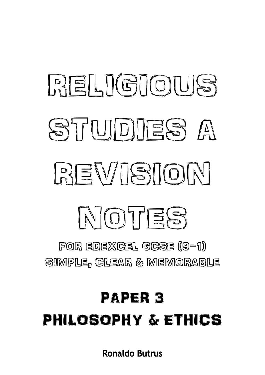SIMPLE, CLEAR & MEMORABLE PAPER 3 PHILOSOPHY & ETHICS

**Ronaldo Butrus** 

FOR EDEXCEL GCSE (9-1)

MOTES

# **RELIGIOUS** STUDIES A REVISION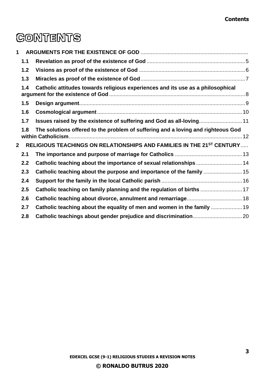## **CONTENTS**

| 1              |     |                                                                                  |  |
|----------------|-----|----------------------------------------------------------------------------------|--|
|                | 1.1 |                                                                                  |  |
|                | 1.2 |                                                                                  |  |
|                | 1.3 |                                                                                  |  |
|                | 1.4 | Catholic attitudes towards religious experiences and its use as a philosophical  |  |
|                | 1.5 |                                                                                  |  |
|                | 1.6 |                                                                                  |  |
|                | 1.7 | Issues raised by the existence of suffering and God as all-loving 11             |  |
|                | 1.8 | The solutions offered to the problem of suffering and a loving and righteous God |  |
| $\overline{2}$ |     | RELIGIOUS TEACHINGS ON RELATIONSHIPS AND FAMILIES IN THE 21ST CENTURY            |  |
|                | 2.1 |                                                                                  |  |
|                | 2.2 | Catholic teaching about the importance of sexual relationships 14                |  |
|                | 2.3 | Catholic teaching about the purpose and importance of the family  15             |  |
|                | 2.4 |                                                                                  |  |
|                | 2.5 | Catholic teaching on family planning and the regulation of births  17            |  |
|                | 2.6 |                                                                                  |  |
|                | 2.7 | Catholic teaching about the equality of men and women in the family              |  |
|                | 2.8 |                                                                                  |  |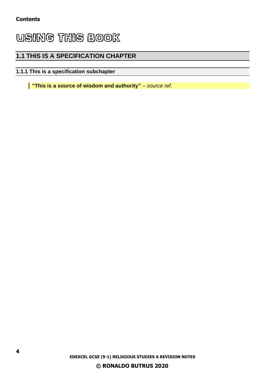### **USING THIS BOOK**

#### **1.1 THIS IS A SPECIFICATION CHAPTER**

#### **1.1.1 This is a specification subchapter**

**"This is a source of wisdom and authority"** *– source ref.*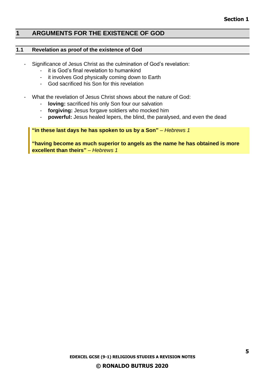#### <span id="page-4-0"></span>**1 ARGUMENTS FOR THE EXISTENCE OF GOD**

#### <span id="page-4-1"></span>**1.1 Revelation as proof of the existence of God**

- Significance of Jesus Christ as the culmination of God's revelation:
	- it is God's final revelation to humankind
	- it involves God physically coming down to Earth
	- God sacrificed his Son for this revelation
- What the revelation of Jesus Christ shows about the nature of God:
	- **loving:** sacrificed his only Son four our salvation
	- **forgiving:** Jesus forgave soldiers who mocked him
	- **powerful:** Jesus healed lepers, the blind, the paralysed, and even the dead

#### **"in these last days he has spoken to us by a Son"** *– Hebrews 1*

**"having become as much superior to angels as the name he has obtained is more excellent than theirs"** *– Hebrews 1*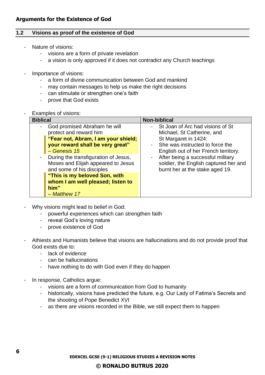#### <span id="page-5-0"></span>**1.2 Visions as proof of the existence of God**

- Nature of visions:
	- visions are a form of private revelation
	- a vision is only approved if it does not contradict any Church teachings
- Importance of visions:
	- a form of divine communication between God and mankind
	- may contain messages to help us make the right decisions
	- can stimulate or strengthen one's faith
	- prove that God exists
- Examples of visions:

| <b>Biblical</b>                                                                                                                                                                                                                                                                                                                                            | Non-biblical                                                                                                                                                                                                                                                                                           |
|------------------------------------------------------------------------------------------------------------------------------------------------------------------------------------------------------------------------------------------------------------------------------------------------------------------------------------------------------------|--------------------------------------------------------------------------------------------------------------------------------------------------------------------------------------------------------------------------------------------------------------------------------------------------------|
| God promised Abraham he will<br>protect and reward him<br>"Fear not, Abram, I am your shield;<br>your reward shall be very great"<br>- Genesis 15<br>During the transfiguration of Jesus,<br>Moses and Elijah appeared to Jesus<br>and some of his disciples<br>"This is my beloved Son, with<br>whom I am well pleased; listen to<br>him"<br>- Matthew 17 | St Joan of Arc had visions of St<br>Michael, St Catherine, and<br>St Margaret in 1424:<br>- She was instructed to force the<br>English out of her French territory.<br>After being a successful military<br>$\blacksquare$<br>soldier, the English captured her and<br>burnt her at the stake aged 19. |

- Why visions might lead to belief in God:
	- powerful experiences which can strengthen faith
	- reveal God's loving nature
	- prove existence of God
- Athiests and Humanists believe that visions are hallucinations and do not provide proof that God exists due to:
	- lack of evidence
	- can be hallucinations
	- have nothing to do with God even if they do happen
- In response, Catholics argue:
	- visions are a form of communication from God to humanity
	- historically, visions have predicted the future, e.g. Our Lady of Fatima's Secrets and the shooting of Pope Benedict XVI
	- as there are visions recorded in the Bible, we still expect them to happen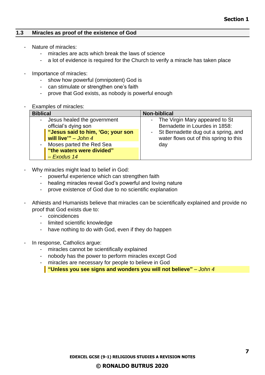#### <span id="page-6-0"></span>**1.3 Miracles as proof of the existence of God**

- Nature of miracles:
	- miracles are acts which break the laws of science
	- a lot of evidence is required for the Church to verify a miracle has taken place
- Importance of miracles:
	- show how powerful (omnipotent) God is
	- can stimulate or strengthen one's faith
	- prove that God exists, as nobody is powerful enough
- Examples of miracles:

| <b>Biblical</b>                                                                                                                               | <b>Non-biblical</b>                                                                                                                                   |  |
|-----------------------------------------------------------------------------------------------------------------------------------------------|-------------------------------------------------------------------------------------------------------------------------------------------------------|--|
| Jesus healed the government<br>official's dying son<br>"Jesus said to him, 'Go; your son<br>will live" $-$ John 4<br>Moses parted the Red Sea | - The Virgin Mary appeared to St<br>Bernadette in Lourdes in 1858:<br>- St Bernadette dug out a spring, and<br>water flows out of this spring to this |  |
| "the waters were divided"<br>$-$ Exodus 14                                                                                                    | day                                                                                                                                                   |  |

- Why miracles might lead to belief in God:
	- powerful experience which can strengthen faith
	- healing miracles reveal God's powerful and loving nature
	- prove existence of God due to no scientific explanation
- Athiests and Humanists believe that miracles can be scientifically explained and provide no proof that God exists due to:
	- coincidences
	- limited scientific knowledge
	- have nothing to do with God, even if they do happen
- In response, Catholics argue:
	- miracles cannot be scientifically explained
	- nobody has the power to perform miracles except God
	- miracles are necessary for people to believe in God

**"Unless you see signs and wonders you will not believe"** *– John 4*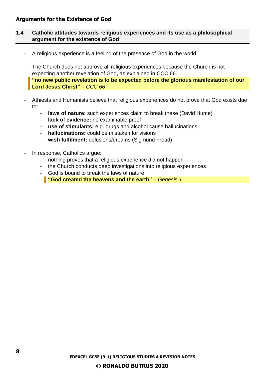#### <span id="page-7-0"></span>**1.4 Catholic attitudes towards religious experiences and its use as a philosophical argument for the existence of God**

- A religious experience is a feeling of the presence of God in the world.
- The Church does not approve all religious experiences because the Church is not expecting another revelation of God, as explained in CCC 66. **"no new public revelation is to be expected before the glorious manifestation of our Lord Jesus Christ"** *– CCC 66*
- Athiests and Humanists believe that religious experiences do not prove that God exists due to:
	- **laws of nature:** such experiences claim to break these (David Hume)
	- **lack of evidence:** no examinable proof
	- **use of stimulants:** e.g. drugs and alcohol cause hallucinations
	- **hallucinations:** could be mistaken for visions
	- wish fulfilment: delusions/dreams (Sigmund Freud)
- In response, Catholics argue:
	- nothing proves that a religious experience did not happen
	- the Church conducts deep investigations into religious experiences
	- God is bound to break the laws of nature
		- **"God created the heavens and the earth"** *– Genesis 1*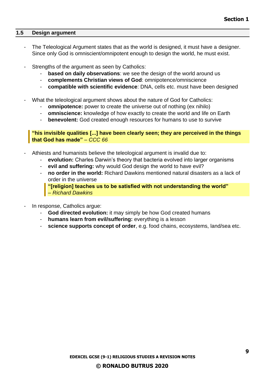#### <span id="page-8-0"></span>**1.5 Design argument**

- The Teleological Argument states that as the world is designed, it must have a designer. Since only God is omniscient/omnipotent enough to design the world, he must exist.
- Strengths of the argument as seen by Catholics:
	- **based on daily observations**: we see the design of the world around us
	- **complements Christian views of God**: omnipotence/omniscience
	- **compatible with scientific evidence**: DNA, cells etc. must have been designed
- What the teleological argument shows about the nature of God for Catholics:
	- **omnipotence:** power to create the universe out of nothing (ex nihilo)
	- **omniscience:** knowledge of how exactly to create the world and life on Earth
	- **benevolent:** God created enough resources for humans to use to survive

**"his invisible qualities [...] have been clearly seen; they are perceived in the things that God has made"** *– CCC 66*

- Athiests and humanists believe the teleological argument is invalid due to:
	- evolution: Charles Darwin's theory that bacteria evolved into larger organisms
	- **evil and suffering:** why would God design the world to have evil?
	- **no order in the world:** Richard Dawkins mentioned natural disasters as a lack of order in the universe

**"[religion] teaches us to be satisfied with not understanding the world"** *– Richard Dawkins*

- In response, Catholics argue:
	- **God directed evolution:** it may simply be how God created humans
	- **humans learn from evil/suffering:** everything is a lesson
	- **science supports concept of order**, e.g. food chains, ecosystems, land/sea etc.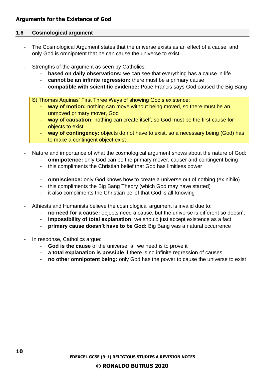#### <span id="page-9-0"></span>**1.6 Cosmological argument**

- The Cosmological Argument states that the universe exists as an effect of a cause, and only God is omnipotent that he can cause the universe to exist.
- Strengths of the argument as seen by Catholics:
	- **based on daily observations:** we can see that everything has a cause in life
	- **cannot be an infinite regression:** there must be a primary cause
	- **compatible with scientific evidence:** Pope Francis says God caused the Big Bang

St Thomas Aquinas' First Three Ways of showing God's existence:

- way of motion: nothing can move without being moved, so there must be an unmoved primary mover, God
- **way of causation:** nothing can create itself, so God must be the first cause for objects to exist
- way of contingency: objects do not have to exist, so a necessary being (God) has to make a contingent object exist
- Nature and importance of what the cosmological argument shows about the nature of God:
	- **omnipotence:** only God can be the primary mover, causer and contingent being
	- this compliments the Christian belief that God has limitless power
	- **omniscience:** only God knows how to create a universe out of nothing (ex nihilo)
	- this compliments the Big Bang Theory (which God may have started)
	- it also compliments the Christian belief that God is all-knowing
- Athiests and Humanists believe the cosmological argument is invalid due to:
	- no need for a cause: objects need a cause, but the universe is different so doesn't
	- impossibility of total explanation: we should just accept existence as a fact
	- **primary cause doesn't have to be God:** Big Bang was a natural occurrence
- In response, Catholics argue:
	- **God is the cause** of the universe; all we need is to prove it
	- **a total explanation is possible** if there is no infinite regression of causes
	- **no other omnipotent being:** only God has the power to cause the universe to exist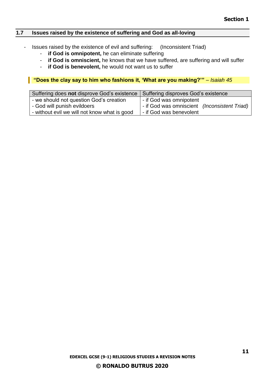#### <span id="page-10-0"></span>**1.7 Issues raised by the existence of suffering and God as all-loving**

- Issues raised by the existence of evil and suffering: (Inconsistent Triad)
	- **if God is omnipotent,** he can eliminate suffering
	- **if God is omniscient,** he knows that we have suffered, are suffering and will suffer
	- **if God is benevolent,** he would not want us to suffer

**"Does the clay say to him who fashions it, 'What are you making?'"** *– Isaiah 45*

| Suffering does not disprove God's existence   Suffering disproves God's existence |                                                                                                      |
|-----------------------------------------------------------------------------------|------------------------------------------------------------------------------------------------------|
| - we should not question God's creation<br>- God will punish evildoers            | I - if God was omnipotent<br>- if God was omniscient (Inconsistent Triad)<br>- if God was benevolent |
| - without evil we will not know what is good                                      |                                                                                                      |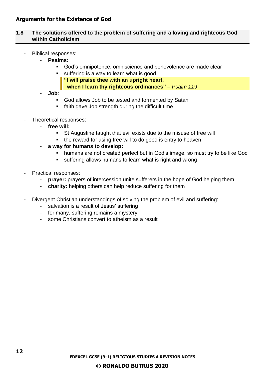#### <span id="page-11-0"></span>**1.8 The solutions offered to the problem of suffering and a loving and righteous God within Catholicism**

- Biblical responses:
	- **Psalms:** 
		- God's omnipotence, omniscience and benevolence are made clear
		- suffering is a way to learn what is good **"I will praise thee with an upright heart,**
			- **when I learn thy righteous ordinances"** *– Psalm 119*
	- **Job**:
		- God allows Job to be tested and tormented by Satan
		- faith gave Job strength during the difficult time
- Theoretical responses:
	- **free will:**
		- St Augustine taught that evil exists due to the misuse of free will
		- the reward for using free will to do good is entry to heaven
	- **a way for humans to develop:**
		- humans are not created perfect but in God's image, so must try to be like God
		- suffering allows humans to learn what is right and wrong
- Practical responses:
	- **prayer:** prayers of intercession unite sufferers in the hope of God helping them
	- **charity:** helping others can help reduce suffering for them
- Divergent Christian understandings of solving the problem of evil and suffering:
	- salvation is a result of Jesus' suffering
	- for many, suffering remains a mystery
	- some Christians convert to atheism as a result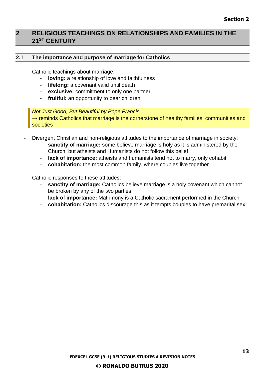#### <span id="page-12-0"></span>**2 RELIGIOUS TEACHINGS ON RELATIONSHIPS AND FAMILIES IN THE 21ST CENTURY**

#### <span id="page-12-1"></span>**2.1 The importance and purpose of marriage for Catholics**

- Catholic teachings about marriage:
	- **loving:** a relationship of love and faithfulness
	- **lifelong:** a covenant valid until death
	- **exclusive:** commitment to only one partner
	- **fruitful:** an opportunity to bear children

#### *Not Just Good, But Beautiful by Pope Francis*

 $\rightarrow$  reminds Catholics that marriage is the cornerstone of healthy families, communities and societies

- Divergent Christian and non-religious attitudes to the importance of marriage in society:
	- sanctity of marriage: some believe marriage is holy as it is administered by the Church, but atheists and Humanists do not follow this belief
	- **lack of importance:** atheists and humanists tend not to marry, only cohabit
	- **cohabitation:** the most common family, where couples live together
- Catholic responses to these attitudes:
	- sanctity of marriage: Catholics believe marriage is a holy covenant which cannot be broken by any of the two parties
	- **lack of importance:** Matrimony is a Catholic sacrament performed in the Church
	- **cohabitation:** Catholics discourage this as it tempts couples to have premarital sex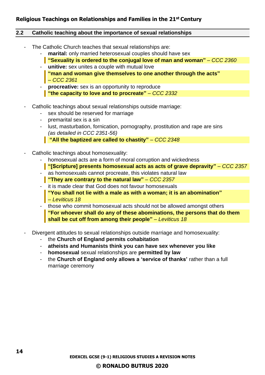#### **Religious Teachings on Relationships and Families in the 21st Century**

#### <span id="page-13-0"></span>**2.2 Catholic teaching about the importance of sexual relationships**

- The Catholic Church teaches that sexual relationships are:
	- marital: only married heterosexual couples should have sex
	- **"Sexuality is ordered to the conjugal love of man and woman"** *– CCC 2360* - **unitive:** sex unites a couple with mutual love
	- **"man and woman give themselves to one another through the acts"**  *– CCC 2361*
	- **procreative:** sex is an opportunity to reproduce **"the capacity to love and to procreate"** *– CCC 2332*
- Catholic teachings about sexual relationships outside marriage:
	- sex should be reserved for marriage
	- premarital sex is a sin
	- lust, masturbation, fornication, pornography, prostitution and rape are sins *(as detailed in CCC 2351-56)*

**"All the baptized are called to chastity"** *– CCC 2348*

- Catholic teachings about homosexuality:
	- homosexual acts are a form of moral corruption and wickedness
	- **"[Scripture] presents homosexual acts as acts of grave depravity"** *– CCC 2357*
	- as homosexuals cannot procreate, this violates natural law **"They are contrary to the natural law"** *– CCC 2357*
	- it is made clear that God does not favour homosexuals
		- **"You shall not lie with a male as with a woman; it is an abomination"**  *– Leviticus 18*
	- those who commit homosexual acts should not be allowed amongst others **"For whoever shall do any of these abominations, the persons that do them shall be cut off from among their people"** – Leviticus 18
- Divergent attitudes to sexual relationships outside marriage and homosexuality:
	- the **Church of England permits cohabitation**
	- **atheists and Humanists think you can have sex whenever you like**
	- **homosexual** sexual relationships are **permitted by law**
	- the **Church of England only allows a 'service of thanks'** rather than a full marriage ceremony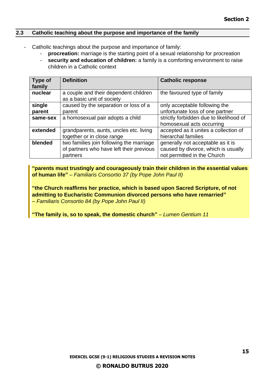#### <span id="page-14-0"></span>**2.3 Catholic teaching about the purpose and importance of the family**

- Catholic teachings about the purpose and importance of family:
	- **procreation:** marriage is the starting point of a sexual relationship for procreation
	- **security and education of children:** a family is a comforting environment to raise children in a Catholic context

| Type of<br>family | <b>Definition</b>                                                   | <b>Catholic response</b>                |
|-------------------|---------------------------------------------------------------------|-----------------------------------------|
| nuclear           | a couple and their dependent children<br>as a basic unit of society | the favoured type of family             |
| single            | caused by the separation or loss of a                               | only acceptable following the           |
| parent            | parent                                                              | unfortunate loss of one partner         |
| same-sex          | a homosexual pair adopts a child                                    | strictly forbidden due to likelihood of |
|                   |                                                                     | homosexual acts occurring               |
| extended          | grandparents, aunts, uncles etc. living                             | accepted as it unites a collection of   |
|                   | together or in close range                                          | hierarchal families                     |
| blended           | two families join following the marriage                            | generally not acceptable as it is       |
|                   | of partners who have left their previous                            | caused by divorce, which is usually     |
|                   | partners                                                            | not permitted in the Church             |

**"parents must trustingly and courageously train their children in the essential values of human life"** *– Familiaris Consortio 37 (by Pope John Paul II)*

**"the Church reaffirms her practice, which is based upon Sacred Scripture, of not admitting to Eucharistic Communion divorced persons who have remarried"**  *– Familiaris Consortio 84 (by Pope John Paul II)*

**"The family is, so to speak, the domestic church"** *– Lumen Gentium 11*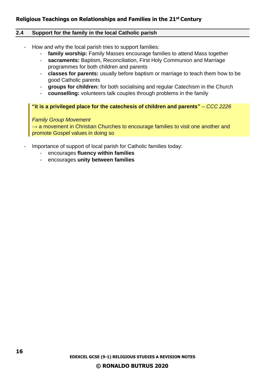#### **Religious Teachings on Relationships and Families in the 21st Century**

#### <span id="page-15-0"></span>**2.4 Support for the family in the local Catholic parish**

- How and why the local parish tries to support families:
	- **family worship:** Family Masses encourage families to attend Mass together
	- **sacraments:** Baptism, Reconciliation, First Holy Communion and Marriage programmes for both children and parents
	- **classes for parents:** usually before baptism or marriage to teach them how to be good Catholic parents
	- **groups for children:** for both socialising and regular Catechism in the Church
	- **counselling:** volunteers talk couples through problems in the family

#### **"it is a privileged place for the catechesis of children and parents"** *– CCC 2226*

#### *Family Group Movement*

 $\rightarrow$  a movement in Christian Churches to encourage families to visit one another and promote Gospel values in doing so

- Importance of support of local parish for Catholic families today:
	- encourages **fluency within families**
	- encourages **unity between families**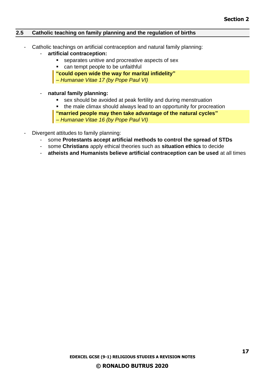#### <span id="page-16-0"></span>**2.5 Catholic teaching on family planning and the regulation of births**

- Catholic teachings on artificial contraception and natural family planning:
	- **artificial contraception:** 
		- separates unitive and procreative aspects of sex
			- can tempt people to be unfaithful
		- **"could open wide the way for marital infidelity"**
		- *– Humanae Vitae 17 (by Pope Paul VI)*
	- **natural family planning:**
		- sex should be avoided at peak fertility and during menstruation
		- the male climax should always lead to an opportunity for procreation
		- **"married people may then take advantage of the natural cycles"**
		- *– Humanae Vitae 16 (by Pope Paul VI)*
	- Divergent attitudes to family planning:
		- some **Protestants accept artificial methods to control the spread of STDs**
		- some **Christians** apply ethical theories such as **situation ethics** to decide
		- **atheists and Humanists believe artificial contraception can be used** at all times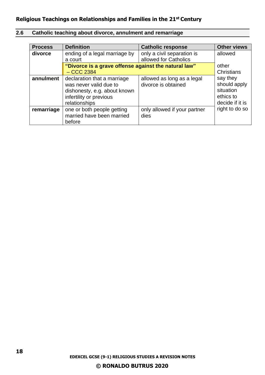#### **Religious Teachings on Relationships and Families in the 21st Century**

#### <span id="page-17-0"></span>**2.6 Catholic teaching about divorce, annulment and remarriage**

| <b>Process</b> | <b>Definition</b>                                                                                                                 | <b>Catholic response</b>                            | <b>Other views</b>                                                    |  |
|----------------|-----------------------------------------------------------------------------------------------------------------------------------|-----------------------------------------------------|-----------------------------------------------------------------------|--|
| divorce        | ending of a legal marriage by<br>a court                                                                                          | only a civil separation is<br>allowed for Catholics | allowed                                                               |  |
|                | "Divorce is a grave offense against the natural law"<br>$-$ CCC 2384                                                              |                                                     | other<br>Christians                                                   |  |
| annulment      | declaration that a marriage<br>was never valid due to<br>dishonesty, e.g. about known<br>infertility or previous<br>relationships | allowed as long as a legal<br>divorce is obtained   | say they<br>should apply<br>situation<br>ethics to<br>decide if it is |  |
| remarriage     | one or both people getting<br>married have been married<br>before                                                                 | only allowed if your partner<br>dies                | right to do so                                                        |  |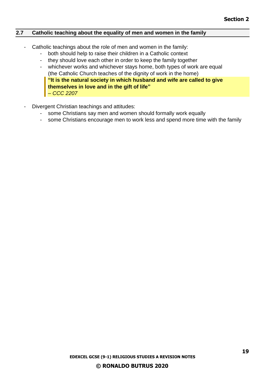#### <span id="page-18-0"></span>**2.7 Catholic teaching about the equality of men and women in the family**

- Catholic teachings about the role of men and women in the family:
	- both should help to raise their children in a Catholic context
	- they should love each other in order to keep the family together
	- whichever works and whichever stays home, both types of work are equal (the Catholic Church teaches of the dignity of work in the home) **"It is the natural society in which husband and wife are called to give themselves in love and in the gift of life"**  *– CCC 2207*
- Divergent Christian teachings and attitudes:
	- some Christians say men and women should formally work equally
	- some Christians encourage men to work less and spend more time with the family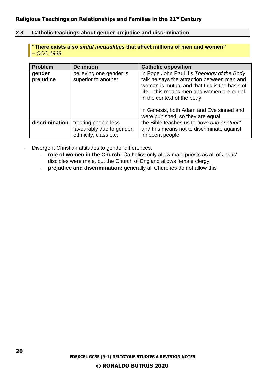#### <span id="page-19-0"></span>**2.8 Catholic teachings about gender prejudice and discrimination**

**"There exists also** *sinful inequalities* **that affect millions of men and women"**  *– CCC 1938*

| <b>Problem</b>      | <b>Definition</b>                                                          | <b>Catholic opposition</b>                                                                                                                                                                                             |
|---------------------|----------------------------------------------------------------------------|------------------------------------------------------------------------------------------------------------------------------------------------------------------------------------------------------------------------|
| gender<br>prejudice | believing one gender is<br>superior to another                             | in Pope John Paul II's Theology of the Body<br>talk he says the attraction between man and<br>woman is mutual and that this is the basis of<br>life – this means men and women are equal<br>in the context of the body |
|                     |                                                                            | in Genesis, both Adam and Eve sinned and<br>were punished, so they are equal                                                                                                                                           |
| discrimination      | treating people less<br>favourably due to gender,<br>ethnicity, class etc. | the Bible teaches us to "love one another"<br>and this means not to discriminate against<br>innocent people                                                                                                            |

- Divergent Christian attitudes to gender differences:
	- role of women in the Church: Catholics only allow male priests as all of Jesus' disciples were male, but the Church of England allows female clergy
	- **prejudice and discrimination:** generally all Churches do not allow this